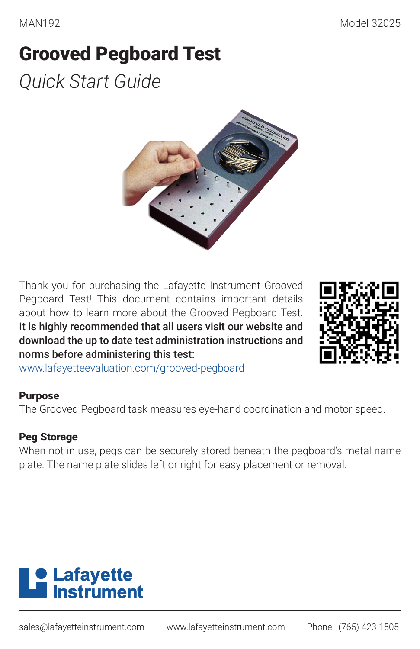# Grooved Pegboard Test

*Quick Start Guide*



Thank you for purchasing the Lafayette Instrument Grooved Pegboard Test! This document contains important details about how to learn more about the Grooved Pegboard Test. It is highly recommended that all users visit our website and download the up to date test administration instructions and norms before administering this test:



www.lafayetteevaluation.com/grooved-pegboard

#### Purpose

The Grooved Pegboard task measures eye-hand coordination and motor speed.

#### Peg Storage

When not in use, pegs can be securely stored beneath the pegboard's metal name plate. The name plate slides left or right for easy placement or removal.